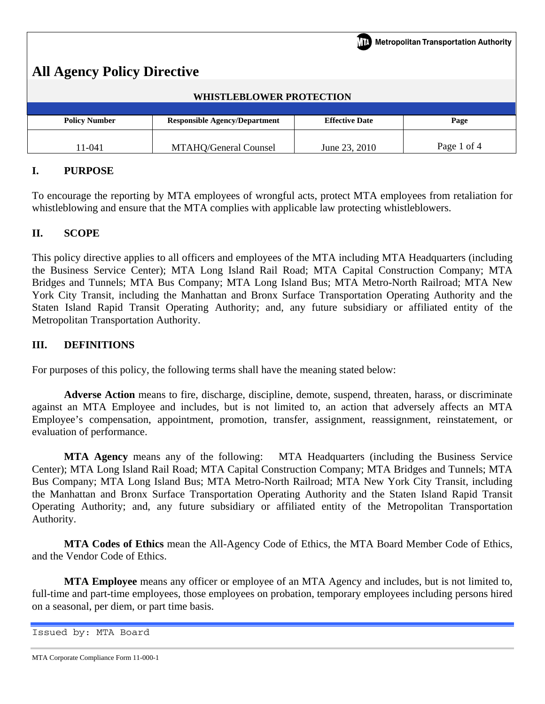| Metropolitan Transportation Authority |                                      |                       |             |  |  |  |
|---------------------------------------|--------------------------------------|-----------------------|-------------|--|--|--|
| <b>All Agency Policy Directive</b>    |                                      |                       |             |  |  |  |
| <b>WHISTLEBLOWER PROTECTION</b>       |                                      |                       |             |  |  |  |
|                                       |                                      |                       |             |  |  |  |
| <b>Policy Number</b>                  | <b>Responsible Agency/Department</b> | <b>Effective Date</b> | Page        |  |  |  |
| 11-041                                | MTAHQ/General Counsel                | June 23, 2010         | Page 1 of 4 |  |  |  |

# **I. PURPOSE**

To encourage the reporting by MTA employees of wrongful acts, protect MTA employees from retaliation for whistleblowing and ensure that the MTA complies with applicable law protecting whistleblowers.

## **II. SCOPE**

This policy directive applies to all officers and employees of the MTA including MTA Headquarters (including the Business Service Center); MTA Long Island Rail Road; MTA Capital Construction Company; MTA Bridges and Tunnels; MTA Bus Company; MTA Long Island Bus; MTA Metro-North Railroad; MTA New York City Transit, including the Manhattan and Bronx Surface Transportation Operating Authority and the Staten Island Rapid Transit Operating Authority; and, any future subsidiary or affiliated entity of the Metropolitan Transportation Authority.

## **III. DEFINITIONS**

For purposes of this policy, the following terms shall have the meaning stated below:

**Adverse Action** means to fire, discharge, discipline, demote, suspend, threaten, harass, or discriminate against an MTA Employee and includes, but is not limited to, an action that adversely affects an MTA Employee's compensation, appointment, promotion, transfer, assignment, reassignment, reinstatement, or evaluation of performance.

**MTA Agency** means any of the following: MTA Headquarters (including the Business Service Center); MTA Long Island Rail Road; MTA Capital Construction Company; MTA Bridges and Tunnels; MTA Bus Company; MTA Long Island Bus; MTA Metro-North Railroad; MTA New York City Transit, including the Manhattan and Bronx Surface Transportation Operating Authority and the Staten Island Rapid Transit Operating Authority; and, any future subsidiary or affiliated entity of the Metropolitan Transportation Authority.

**MTA Codes of Ethics** mean the All-Agency Code of Ethics, the MTA Board Member Code of Ethics, and the Vendor Code of Ethics.

**MTA Employee** means any officer or employee of an MTA Agency and includes, but is not limited to, full-time and part-time employees, those employees on probation, temporary employees including persons hired on a seasonal, per diem, or part time basis.

Issued by: MTA Board

MTA Corporate Compliance Form 11-000-1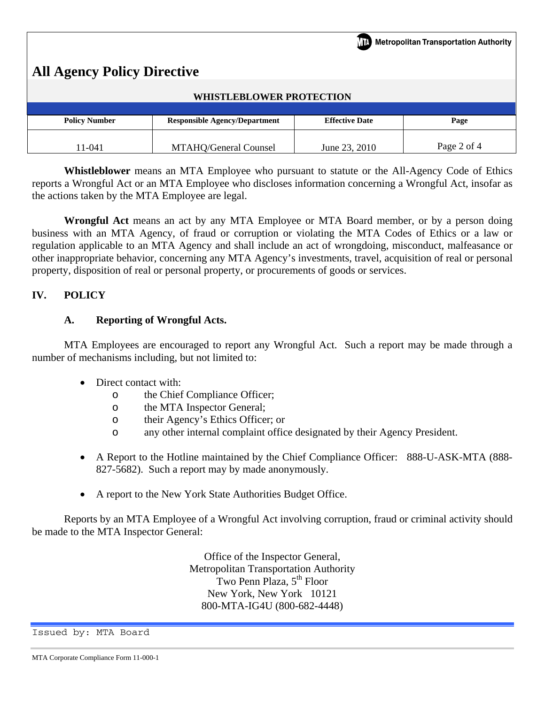| <b>TH</b> Metropolitan Transportation Authority<br><b>All Agency Policy Directive</b><br><b>WHISTLEBLOWER PROTECTION</b> |                                      |                       |             |  |  |  |
|--------------------------------------------------------------------------------------------------------------------------|--------------------------------------|-----------------------|-------------|--|--|--|
| <b>Policy Number</b>                                                                                                     | <b>Responsible Agency/Department</b> | <b>Effective Date</b> | Page        |  |  |  |
| 11-041                                                                                                                   | MTAHQ/General Counsel                | June 23, 2010         | Page 2 of 4 |  |  |  |

**Whistleblower** means an MTA Employee who pursuant to statute or the All-Agency Code of Ethics reports a Wrongful Act or an MTA Employee who discloses information concerning a Wrongful Act, insofar as the actions taken by the MTA Employee are legal.

**Wrongful Act** means an act by any MTA Employee or MTA Board member, or by a person doing business with an MTA Agency, of fraud or corruption or violating the MTA Codes of Ethics or a law or regulation applicable to an MTA Agency and shall include an act of wrongdoing, misconduct, malfeasance or other inappropriate behavior, concerning any MTA Agency's investments, travel, acquisition of real or personal property, disposition of real or personal property, or procurements of goods or services.

## **IV. POLICY**

## **A. Reporting of Wrongful Acts.**

MTA Employees are encouraged to report any Wrongful Act. Such a report may be made through a number of mechanisms including, but not limited to:

- Direct contact with:
	- o the Chief Compliance Officer;
	- o the MTA Inspector General;
	- o their Agency's Ethics Officer; or
	- o any other internal complaint office designated by their Agency President.
- A Report to the Hotline maintained by the Chief Compliance Officer: 888-U-ASK-MTA (888-827-5682). Such a report may by made anonymously.
- A report to the New York State Authorities Budget Office.

Reports by an MTA Employee of a Wrongful Act involving corruption, fraud or criminal activity should be made to the MTA Inspector General:

> Office of the Inspector General, Metropolitan Transportation Authority Two Penn Plaza, 5<sup>th</sup> Floor New York, New York 10121 800-MTA-IG4U (800-682-4448)

Issued by: MTA Board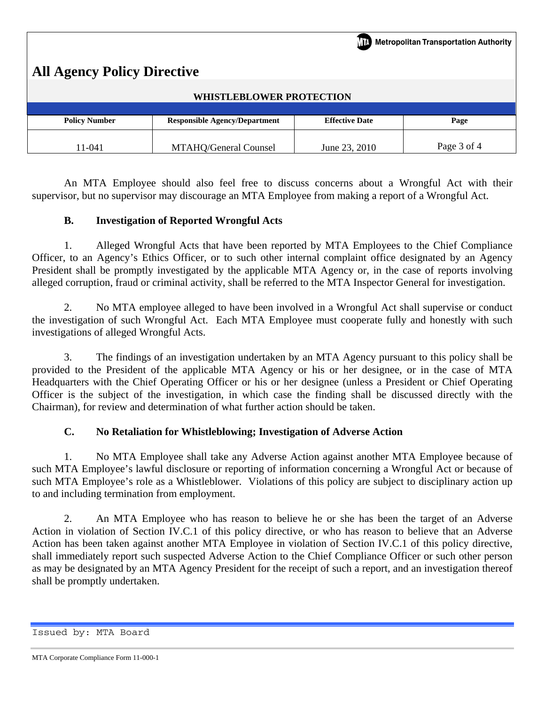| $\sqrt{17}$ Metropolitan Transportation Authority  <br><b>All Agency Policy Directive</b> |                                      |                       |             |  |  |  |
|-------------------------------------------------------------------------------------------|--------------------------------------|-----------------------|-------------|--|--|--|
| <b>WHISTLEBLOWER PROTECTION</b>                                                           |                                      |                       |             |  |  |  |
|                                                                                           |                                      |                       |             |  |  |  |
| <b>Policy Number</b>                                                                      | <b>Responsible Agency/Department</b> | <b>Effective Date</b> | Page        |  |  |  |
| 11-041                                                                                    | MTAHQ/General Counsel                | June 23, 2010         | Page 3 of 4 |  |  |  |

An MTA Employee should also feel free to discuss concerns about a Wrongful Act with their supervisor, but no supervisor may discourage an MTA Employee from making a report of a Wrongful Act.

# **B. Investigation of Reported Wrongful Acts**

1. Alleged Wrongful Acts that have been reported by MTA Employees to the Chief Compliance Officer, to an Agency's Ethics Officer, or to such other internal complaint office designated by an Agency President shall be promptly investigated by the applicable MTA Agency or, in the case of reports involving alleged corruption, fraud or criminal activity, shall be referred to the MTA Inspector General for investigation.

2. No MTA employee alleged to have been involved in a Wrongful Act shall supervise or conduct the investigation of such Wrongful Act. Each MTA Employee must cooperate fully and honestly with such investigations of alleged Wrongful Acts.

3. The findings of an investigation undertaken by an MTA Agency pursuant to this policy shall be provided to the President of the applicable MTA Agency or his or her designee, or in the case of MTA Headquarters with the Chief Operating Officer or his or her designee (unless a President or Chief Operating Officer is the subject of the investigation, in which case the finding shall be discussed directly with the Chairman), for review and determination of what further action should be taken.

## **C. No Retaliation for Whistleblowing; Investigation of Adverse Action**

1. No MTA Employee shall take any Adverse Action against another MTA Employee because of such MTA Employee's lawful disclosure or reporting of information concerning a Wrongful Act or because of such MTA Employee's role as a Whistleblower. Violations of this policy are subject to disciplinary action up to and including termination from employment.

2. An MTA Employee who has reason to believe he or she has been the target of an Adverse Action in violation of Section IV.C.1 of this policy directive, or who has reason to believe that an Adverse Action has been taken against another MTA Employee in violation of Section IV.C.1 of this policy directive, shall immediately report such suspected Adverse Action to the Chief Compliance Officer or such other person as may be designated by an MTA Agency President for the receipt of such a report, and an investigation thereof shall be promptly undertaken.

Issued by: MTA Board